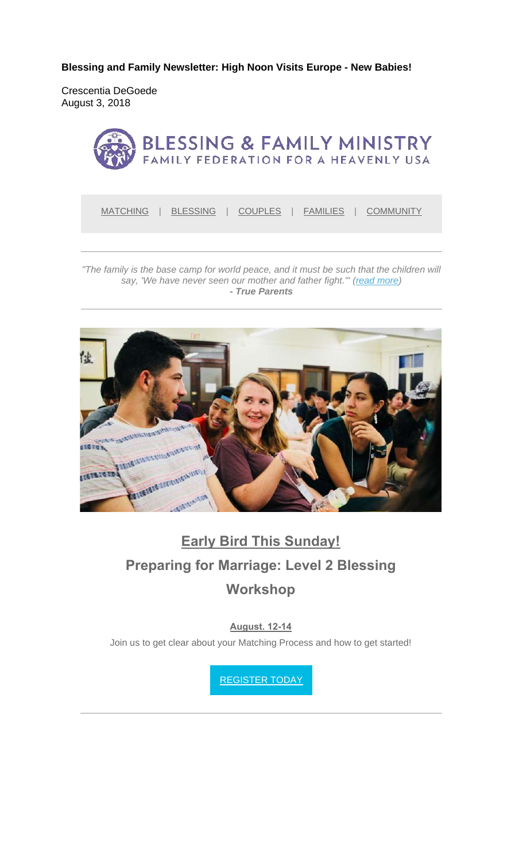**Blessing and Family Newsletter: High Noon Visits Europe - New Babies!** 

Crescentia DeGoede August 3, 2018



MATCHING | BLESSING | COUPLES | FAMILIES | COMMUNITY

*"The family is the base camp for world peace, and it must be such that the children will say, 'We have never seen our mother and father fight.'" (read more) - True Parents*



# **Early Bird This Sunday! Preparing for Marriage: Level 2 Blessing Workshop**

#### **August. 12-14**

Join us to get clear about your Matching Process and how to get started!

REGISTER TODAY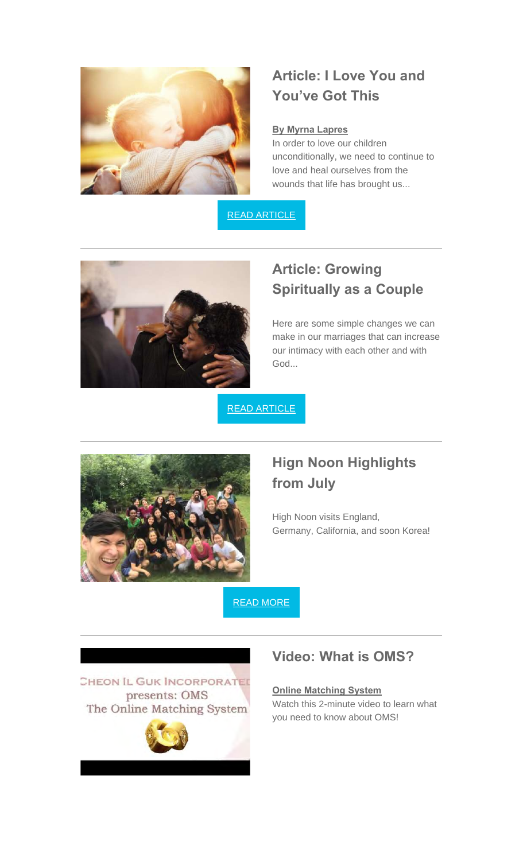

## **Article: I Love You and You've Got This**

#### **By Myrna Lapres**

In order to love our children unconditionally, we need to continue to love and heal ourselves from the wounds that life has brought us...

READ ARTICLE



### **Article: Growing Spiritually as a Couple**

Here are some simple changes we can make in our marriages that can increase our intimacy with each other and with God...

READ ARTICLE



### **Hign Noon Highlights from July**

High Noon visits England, Germany, California, and soon Korea!

READ MORE

CHEON IL GUK INCORPORATED presents: OMS The Online Matching System



#### **Video: What is OMS?**

**Online Matching System** Watch this 2-minute video to learn what you need to know about OMS!